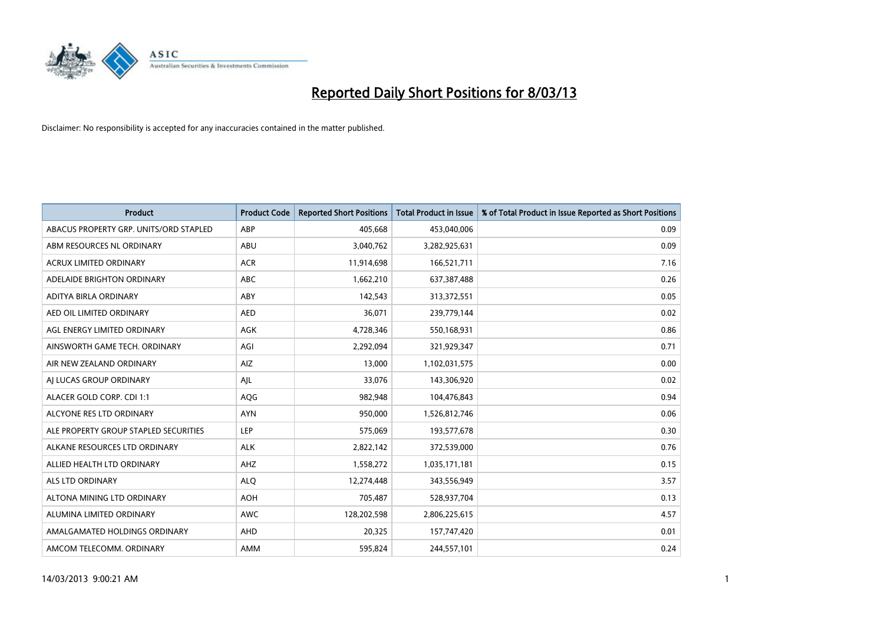

| <b>Product</b>                         | <b>Product Code</b> | <b>Reported Short Positions</b> | <b>Total Product in Issue</b> | % of Total Product in Issue Reported as Short Positions |
|----------------------------------------|---------------------|---------------------------------|-------------------------------|---------------------------------------------------------|
| ABACUS PROPERTY GRP. UNITS/ORD STAPLED | ABP                 | 405,668                         | 453,040,006                   | 0.09                                                    |
| ABM RESOURCES NL ORDINARY              | ABU                 | 3,040,762                       | 3,282,925,631                 | 0.09                                                    |
| <b>ACRUX LIMITED ORDINARY</b>          | <b>ACR</b>          | 11,914,698                      | 166,521,711                   | 7.16                                                    |
| ADELAIDE BRIGHTON ORDINARY             | <b>ABC</b>          | 1,662,210                       | 637,387,488                   | 0.26                                                    |
| ADITYA BIRLA ORDINARY                  | ABY                 | 142,543                         | 313,372,551                   | 0.05                                                    |
| AED OIL LIMITED ORDINARY               | <b>AED</b>          | 36,071                          | 239,779,144                   | 0.02                                                    |
| AGL ENERGY LIMITED ORDINARY            | AGK                 | 4,728,346                       | 550,168,931                   | 0.86                                                    |
| AINSWORTH GAME TECH. ORDINARY          | AGI                 | 2,292,094                       | 321,929,347                   | 0.71                                                    |
| AIR NEW ZEALAND ORDINARY               | AIZ                 | 13.000                          | 1,102,031,575                 | 0.00                                                    |
| AI LUCAS GROUP ORDINARY                | AJL                 | 33,076                          | 143,306,920                   | 0.02                                                    |
| ALACER GOLD CORP. CDI 1:1              | AQG                 | 982,948                         | 104,476,843                   | 0.94                                                    |
| ALCYONE RES LTD ORDINARY               | <b>AYN</b>          | 950,000                         | 1,526,812,746                 | 0.06                                                    |
| ALE PROPERTY GROUP STAPLED SECURITIES  | <b>LEP</b>          | 575,069                         | 193,577,678                   | 0.30                                                    |
| ALKANE RESOURCES LTD ORDINARY          | <b>ALK</b>          | 2,822,142                       | 372,539,000                   | 0.76                                                    |
| ALLIED HEALTH LTD ORDINARY             | AHZ                 | 1,558,272                       | 1,035,171,181                 | 0.15                                                    |
| ALS LTD ORDINARY                       | <b>ALO</b>          | 12,274,448                      | 343,556,949                   | 3.57                                                    |
| ALTONA MINING LTD ORDINARY             | <b>AOH</b>          | 705,487                         | 528,937,704                   | 0.13                                                    |
| ALUMINA LIMITED ORDINARY               | <b>AWC</b>          | 128,202,598                     | 2,806,225,615                 | 4.57                                                    |
| AMALGAMATED HOLDINGS ORDINARY          | AHD                 | 20,325                          | 157,747,420                   | 0.01                                                    |
| AMCOM TELECOMM. ORDINARY               | AMM                 | 595,824                         | 244,557,101                   | 0.24                                                    |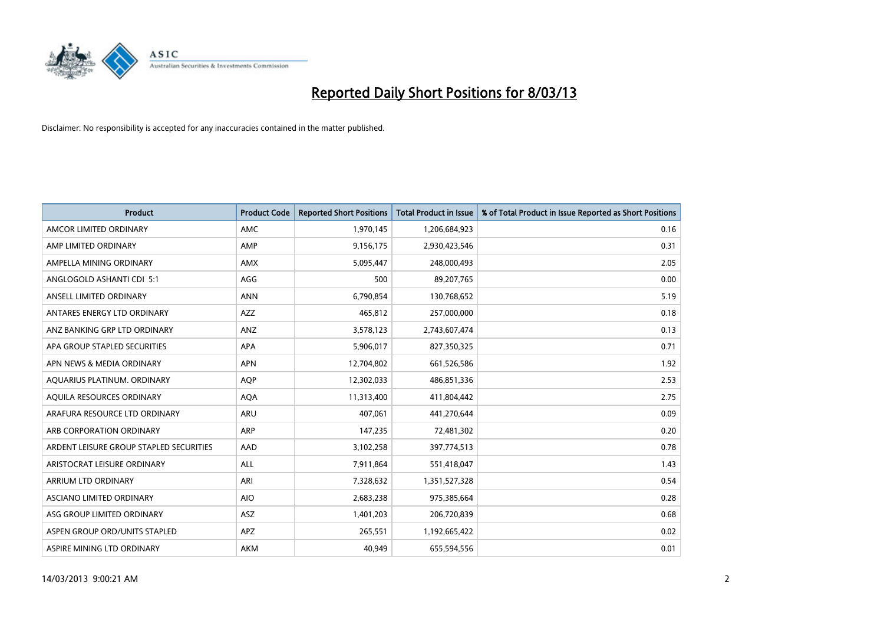

| <b>Product</b>                          | <b>Product Code</b> | <b>Reported Short Positions</b> | <b>Total Product in Issue</b> | % of Total Product in Issue Reported as Short Positions |
|-----------------------------------------|---------------------|---------------------------------|-------------------------------|---------------------------------------------------------|
| AMCOR LIMITED ORDINARY                  | AMC                 | 1,970,145                       | 1,206,684,923                 | 0.16                                                    |
| AMP LIMITED ORDINARY                    | AMP                 | 9,156,175                       | 2,930,423,546                 | 0.31                                                    |
| AMPELLA MINING ORDINARY                 | <b>AMX</b>          | 5,095,447                       | 248,000,493                   | 2.05                                                    |
| ANGLOGOLD ASHANTI CDI 5:1               | AGG                 | 500                             | 89,207,765                    | 0.00                                                    |
| ANSELL LIMITED ORDINARY                 | <b>ANN</b>          | 6,790,854                       | 130,768,652                   | 5.19                                                    |
| ANTARES ENERGY LTD ORDINARY             | <b>AZZ</b>          | 465,812                         | 257,000,000                   | 0.18                                                    |
| ANZ BANKING GRP LTD ORDINARY            | <b>ANZ</b>          | 3,578,123                       | 2,743,607,474                 | 0.13                                                    |
| APA GROUP STAPLED SECURITIES            | APA                 | 5,906,017                       | 827,350,325                   | 0.71                                                    |
| APN NEWS & MEDIA ORDINARY               | <b>APN</b>          | 12,704,802                      | 661,526,586                   | 1.92                                                    |
| AQUARIUS PLATINUM. ORDINARY             | <b>AOP</b>          | 12,302,033                      | 486,851,336                   | 2.53                                                    |
| AQUILA RESOURCES ORDINARY               | <b>AQA</b>          | 11,313,400                      | 411,804,442                   | 2.75                                                    |
| ARAFURA RESOURCE LTD ORDINARY           | ARU                 | 407,061                         | 441,270,644                   | 0.09                                                    |
| ARB CORPORATION ORDINARY                | <b>ARP</b>          | 147,235                         | 72,481,302                    | 0.20                                                    |
| ARDENT LEISURE GROUP STAPLED SECURITIES | AAD                 | 3,102,258                       | 397,774,513                   | 0.78                                                    |
| ARISTOCRAT LEISURE ORDINARY             | <b>ALL</b>          | 7,911,864                       | 551,418,047                   | 1.43                                                    |
| ARRIUM LTD ORDINARY                     | ARI                 | 7,328,632                       | 1,351,527,328                 | 0.54                                                    |
| ASCIANO LIMITED ORDINARY                | <b>AIO</b>          | 2,683,238                       | 975,385,664                   | 0.28                                                    |
| ASG GROUP LIMITED ORDINARY              | <b>ASZ</b>          | 1,401,203                       | 206,720,839                   | 0.68                                                    |
| ASPEN GROUP ORD/UNITS STAPLED           | <b>APZ</b>          | 265,551                         | 1,192,665,422                 | 0.02                                                    |
| ASPIRE MINING LTD ORDINARY              | AKM                 | 40,949                          | 655,594,556                   | 0.01                                                    |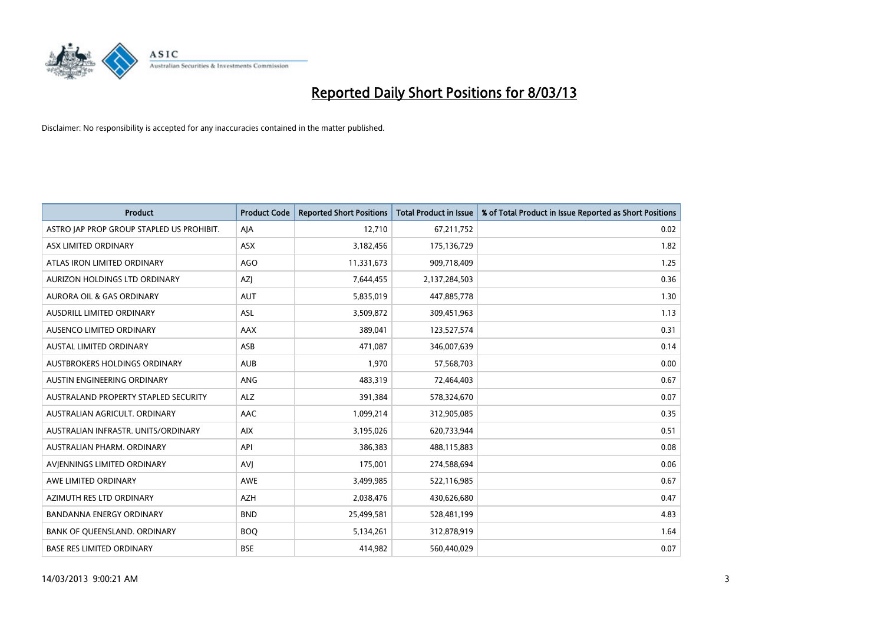

| <b>Product</b>                            | <b>Product Code</b> | <b>Reported Short Positions</b> | <b>Total Product in Issue</b> | % of Total Product in Issue Reported as Short Positions |
|-------------------------------------------|---------------------|---------------------------------|-------------------------------|---------------------------------------------------------|
| ASTRO JAP PROP GROUP STAPLED US PROHIBIT. | AJA                 | 12,710                          | 67,211,752                    | 0.02                                                    |
| ASX LIMITED ORDINARY                      | ASX                 | 3,182,456                       | 175,136,729                   | 1.82                                                    |
| ATLAS IRON LIMITED ORDINARY               | <b>AGO</b>          | 11,331,673                      | 909,718,409                   | 1.25                                                    |
| AURIZON HOLDINGS LTD ORDINARY             | AZJ                 | 7,644,455                       | 2,137,284,503                 | 0.36                                                    |
| <b>AURORA OIL &amp; GAS ORDINARY</b>      | AUT                 | 5,835,019                       | 447,885,778                   | 1.30                                                    |
| AUSDRILL LIMITED ORDINARY                 | <b>ASL</b>          | 3,509,872                       | 309,451,963                   | 1.13                                                    |
| AUSENCO LIMITED ORDINARY                  | AAX                 | 389,041                         | 123,527,574                   | 0.31                                                    |
| AUSTAL LIMITED ORDINARY                   | ASB                 | 471,087                         | 346,007,639                   | 0.14                                                    |
| AUSTBROKERS HOLDINGS ORDINARY             | <b>AUB</b>          | 1,970                           | 57,568,703                    | 0.00                                                    |
| AUSTIN ENGINEERING ORDINARY               | <b>ANG</b>          | 483,319                         | 72,464,403                    | 0.67                                                    |
| AUSTRALAND PROPERTY STAPLED SECURITY      | <b>ALZ</b>          | 391,384                         | 578,324,670                   | 0.07                                                    |
| AUSTRALIAN AGRICULT, ORDINARY             | AAC                 | 1,099,214                       | 312,905,085                   | 0.35                                                    |
| AUSTRALIAN INFRASTR, UNITS/ORDINARY       | <b>AIX</b>          | 3,195,026                       | 620,733,944                   | 0.51                                                    |
| AUSTRALIAN PHARM, ORDINARY                | API                 | 386,383                         | 488,115,883                   | 0.08                                                    |
| AVIENNINGS LIMITED ORDINARY               | <b>AVJ</b>          | 175,001                         | 274,588,694                   | 0.06                                                    |
| AWE LIMITED ORDINARY                      | AWE                 | 3,499,985                       | 522,116,985                   | 0.67                                                    |
| AZIMUTH RES LTD ORDINARY                  | <b>AZH</b>          | 2,038,476                       | 430,626,680                   | 0.47                                                    |
| <b>BANDANNA ENERGY ORDINARY</b>           | <b>BND</b>          | 25,499,581                      | 528,481,199                   | 4.83                                                    |
| BANK OF QUEENSLAND. ORDINARY              | <b>BOQ</b>          | 5,134,261                       | 312,878,919                   | 1.64                                                    |
| <b>BASE RES LIMITED ORDINARY</b>          | <b>BSE</b>          | 414,982                         | 560,440,029                   | 0.07                                                    |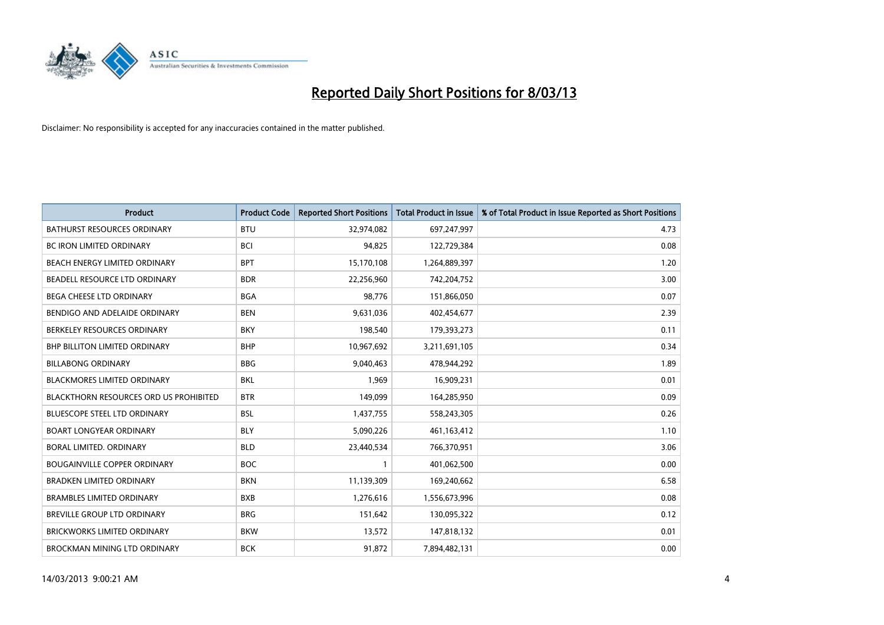

| <b>Product</b>                         | <b>Product Code</b> | <b>Reported Short Positions</b> | <b>Total Product in Issue</b> | % of Total Product in Issue Reported as Short Positions |
|----------------------------------------|---------------------|---------------------------------|-------------------------------|---------------------------------------------------------|
| <b>BATHURST RESOURCES ORDINARY</b>     | <b>BTU</b>          | 32,974,082                      | 697,247,997                   | 4.73                                                    |
| BC IRON LIMITED ORDINARY               | <b>BCI</b>          | 94,825                          | 122,729,384                   | 0.08                                                    |
| BEACH ENERGY LIMITED ORDINARY          | <b>BPT</b>          | 15,170,108                      | 1,264,889,397                 | 1.20                                                    |
| BEADELL RESOURCE LTD ORDINARY          | <b>BDR</b>          | 22,256,960                      | 742,204,752                   | 3.00                                                    |
| <b>BEGA CHEESE LTD ORDINARY</b>        | <b>BGA</b>          | 98,776                          | 151,866,050                   | 0.07                                                    |
| BENDIGO AND ADELAIDE ORDINARY          | <b>BEN</b>          | 9,631,036                       | 402,454,677                   | 2.39                                                    |
| BERKELEY RESOURCES ORDINARY            | <b>BKY</b>          | 198,540                         | 179,393,273                   | 0.11                                                    |
| <b>BHP BILLITON LIMITED ORDINARY</b>   | <b>BHP</b>          | 10,967,692                      | 3,211,691,105                 | 0.34                                                    |
| <b>BILLABONG ORDINARY</b>              | <b>BBG</b>          | 9,040,463                       | 478,944,292                   | 1.89                                                    |
| <b>BLACKMORES LIMITED ORDINARY</b>     | <b>BKL</b>          | 1,969                           | 16,909,231                    | 0.01                                                    |
| BLACKTHORN RESOURCES ORD US PROHIBITED | <b>BTR</b>          | 149,099                         | 164,285,950                   | 0.09                                                    |
| <b>BLUESCOPE STEEL LTD ORDINARY</b>    | <b>BSL</b>          | 1,437,755                       | 558,243,305                   | 0.26                                                    |
| <b>BOART LONGYEAR ORDINARY</b>         | <b>BLY</b>          | 5,090,226                       | 461,163,412                   | 1.10                                                    |
| <b>BORAL LIMITED, ORDINARY</b>         | <b>BLD</b>          | 23,440,534                      | 766,370,951                   | 3.06                                                    |
| <b>BOUGAINVILLE COPPER ORDINARY</b>    | <b>BOC</b>          | 1                               | 401,062,500                   | 0.00                                                    |
| <b>BRADKEN LIMITED ORDINARY</b>        | <b>BKN</b>          | 11,139,309                      | 169,240,662                   | 6.58                                                    |
| <b>BRAMBLES LIMITED ORDINARY</b>       | <b>BXB</b>          | 1,276,616                       | 1,556,673,996                 | 0.08                                                    |
| BREVILLE GROUP LTD ORDINARY            | <b>BRG</b>          | 151,642                         | 130,095,322                   | 0.12                                                    |
| <b>BRICKWORKS LIMITED ORDINARY</b>     | <b>BKW</b>          | 13,572                          | 147,818,132                   | 0.01                                                    |
| BROCKMAN MINING LTD ORDINARY           | <b>BCK</b>          | 91,872                          | 7,894,482,131                 | 0.00                                                    |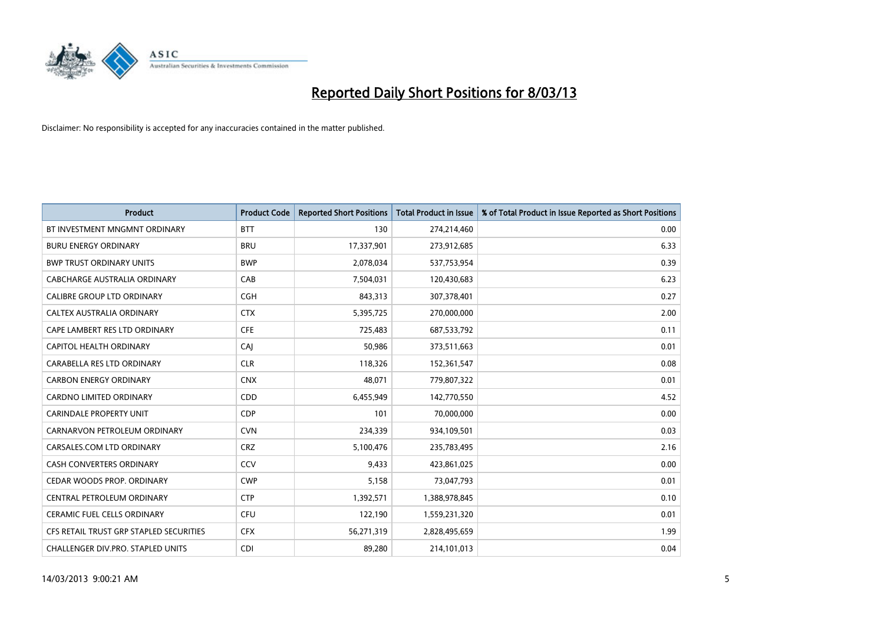

| <b>Product</b>                          | <b>Product Code</b> | <b>Reported Short Positions</b> | <b>Total Product in Issue</b> | % of Total Product in Issue Reported as Short Positions |
|-----------------------------------------|---------------------|---------------------------------|-------------------------------|---------------------------------------------------------|
| BT INVESTMENT MNGMNT ORDINARY           | <b>BTT</b>          | 130                             | 274,214,460                   | 0.00                                                    |
| <b>BURU ENERGY ORDINARY</b>             | <b>BRU</b>          | 17,337,901                      | 273,912,685                   | 6.33                                                    |
| <b>BWP TRUST ORDINARY UNITS</b>         | <b>BWP</b>          | 2,078,034                       | 537,753,954                   | 0.39                                                    |
| CABCHARGE AUSTRALIA ORDINARY            | CAB                 | 7,504,031                       | 120,430,683                   | 6.23                                                    |
| <b>CALIBRE GROUP LTD ORDINARY</b>       | <b>CGH</b>          | 843,313                         | 307,378,401                   | 0.27                                                    |
| CALTEX AUSTRALIA ORDINARY               | <b>CTX</b>          | 5,395,725                       | 270,000,000                   | 2.00                                                    |
| CAPE LAMBERT RES LTD ORDINARY           | <b>CFE</b>          | 725,483                         | 687,533,792                   | 0.11                                                    |
| CAPITOL HEALTH ORDINARY                 | CAJ                 | 50,986                          | 373,511,663                   | 0.01                                                    |
| CARABELLA RES LTD ORDINARY              | <b>CLR</b>          | 118,326                         | 152,361,547                   | 0.08                                                    |
| <b>CARBON ENERGY ORDINARY</b>           | <b>CNX</b>          | 48,071                          | 779,807,322                   | 0.01                                                    |
| CARDNO LIMITED ORDINARY                 | CDD                 | 6,455,949                       | 142,770,550                   | 4.52                                                    |
| <b>CARINDALE PROPERTY UNIT</b>          | <b>CDP</b>          | 101                             | 70,000,000                    | 0.00                                                    |
| CARNARVON PETROLEUM ORDINARY            | <b>CVN</b>          | 234,339                         | 934,109,501                   | 0.03                                                    |
| CARSALES.COM LTD ORDINARY               | <b>CRZ</b>          | 5,100,476                       | 235,783,495                   | 2.16                                                    |
| <b>CASH CONVERTERS ORDINARY</b>         | CCV                 | 9,433                           | 423,861,025                   | 0.00                                                    |
| CEDAR WOODS PROP. ORDINARY              | <b>CWP</b>          | 5,158                           | 73,047,793                    | 0.01                                                    |
| CENTRAL PETROLEUM ORDINARY              | <b>CTP</b>          | 1,392,571                       | 1,388,978,845                 | 0.10                                                    |
| CERAMIC FUEL CELLS ORDINARY             | <b>CFU</b>          | 122,190                         | 1,559,231,320                 | 0.01                                                    |
| CFS RETAIL TRUST GRP STAPLED SECURITIES | <b>CFX</b>          | 56,271,319                      | 2,828,495,659                 | 1.99                                                    |
| CHALLENGER DIV.PRO. STAPLED UNITS       | <b>CDI</b>          | 89,280                          | 214,101,013                   | 0.04                                                    |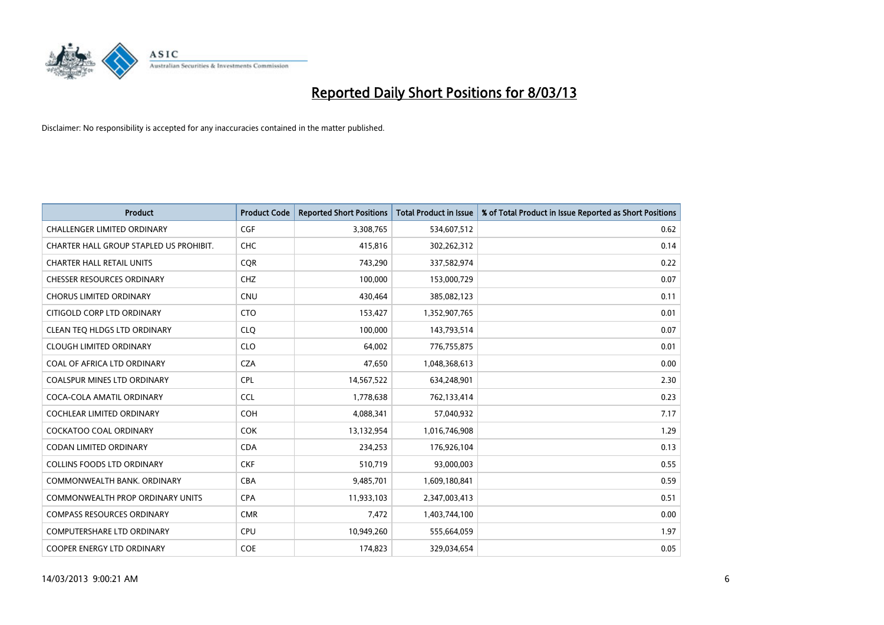

| <b>Product</b>                          | <b>Product Code</b> | <b>Reported Short Positions</b> | <b>Total Product in Issue</b> | % of Total Product in Issue Reported as Short Positions |
|-----------------------------------------|---------------------|---------------------------------|-------------------------------|---------------------------------------------------------|
| <b>CHALLENGER LIMITED ORDINARY</b>      | <b>CGF</b>          | 3,308,765                       | 534,607,512                   | 0.62                                                    |
| CHARTER HALL GROUP STAPLED US PROHIBIT. | <b>CHC</b>          | 415,816                         | 302,262,312                   | 0.14                                                    |
| <b>CHARTER HALL RETAIL UNITS</b>        | <b>CQR</b>          | 743,290                         | 337,582,974                   | 0.22                                                    |
| <b>CHESSER RESOURCES ORDINARY</b>       | <b>CHZ</b>          | 100,000                         | 153,000,729                   | 0.07                                                    |
| <b>CHORUS LIMITED ORDINARY</b>          | <b>CNU</b>          | 430,464                         | 385,082,123                   | 0.11                                                    |
| CITIGOLD CORP LTD ORDINARY              | <b>CTO</b>          | 153,427                         | 1,352,907,765                 | 0.01                                                    |
| CLEAN TEO HLDGS LTD ORDINARY            | <b>CLO</b>          | 100,000                         | 143,793,514                   | 0.07                                                    |
| <b>CLOUGH LIMITED ORDINARY</b>          | <b>CLO</b>          | 64,002                          | 776,755,875                   | 0.01                                                    |
| COAL OF AFRICA LTD ORDINARY             | <b>CZA</b>          | 47,650                          | 1,048,368,613                 | 0.00                                                    |
| <b>COALSPUR MINES LTD ORDINARY</b>      | <b>CPL</b>          | 14,567,522                      | 634,248,901                   | 2.30                                                    |
| COCA-COLA AMATIL ORDINARY               | <b>CCL</b>          | 1,778,638                       | 762,133,414                   | 0.23                                                    |
| <b>COCHLEAR LIMITED ORDINARY</b>        | <b>COH</b>          | 4,088,341                       | 57,040,932                    | 7.17                                                    |
| <b>COCKATOO COAL ORDINARY</b>           | <b>COK</b>          | 13,132,954                      | 1,016,746,908                 | 1.29                                                    |
| <b>CODAN LIMITED ORDINARY</b>           | <b>CDA</b>          | 234,253                         | 176,926,104                   | 0.13                                                    |
| <b>COLLINS FOODS LTD ORDINARY</b>       | <b>CKF</b>          | 510,719                         | 93,000,003                    | 0.55                                                    |
| COMMONWEALTH BANK, ORDINARY             | <b>CBA</b>          | 9,485,701                       | 1,609,180,841                 | 0.59                                                    |
| COMMONWEALTH PROP ORDINARY UNITS        | <b>CPA</b>          | 11,933,103                      | 2,347,003,413                 | 0.51                                                    |
| <b>COMPASS RESOURCES ORDINARY</b>       | <b>CMR</b>          | 7,472                           | 1,403,744,100                 | 0.00                                                    |
| <b>COMPUTERSHARE LTD ORDINARY</b>       | <b>CPU</b>          | 10,949,260                      | 555,664,059                   | 1.97                                                    |
| COOPER ENERGY LTD ORDINARY              | <b>COE</b>          | 174,823                         | 329,034,654                   | 0.05                                                    |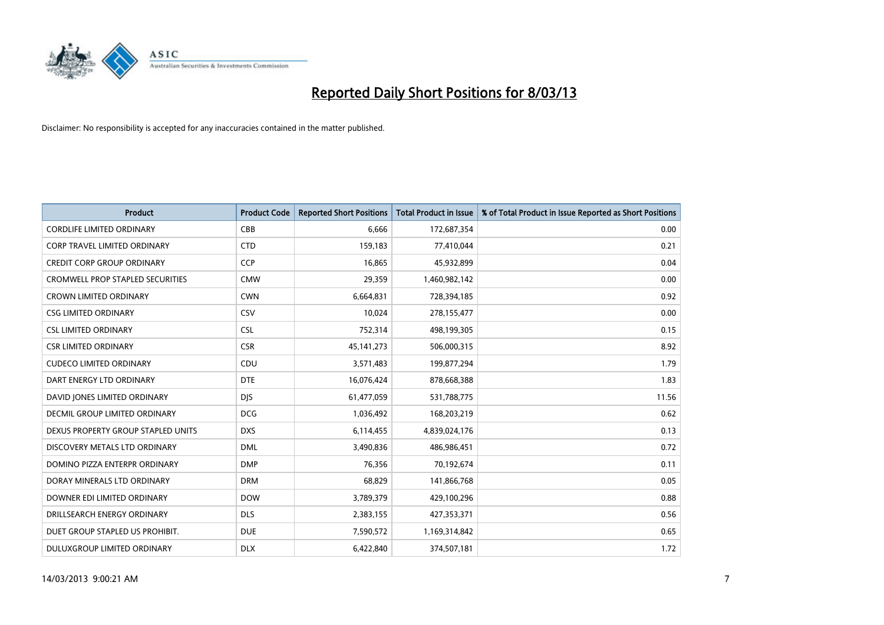

| <b>Product</b>                          | <b>Product Code</b> | <b>Reported Short Positions</b> | <b>Total Product in Issue</b> | % of Total Product in Issue Reported as Short Positions |
|-----------------------------------------|---------------------|---------------------------------|-------------------------------|---------------------------------------------------------|
| <b>CORDLIFE LIMITED ORDINARY</b>        | CBB                 | 6,666                           | 172,687,354                   | 0.00                                                    |
| CORP TRAVEL LIMITED ORDINARY            | <b>CTD</b>          | 159,183                         | 77,410,044                    | 0.21                                                    |
| <b>CREDIT CORP GROUP ORDINARY</b>       | <b>CCP</b>          | 16,865                          | 45,932,899                    | 0.04                                                    |
| <b>CROMWELL PROP STAPLED SECURITIES</b> | <b>CMW</b>          | 29,359                          | 1,460,982,142                 | 0.00                                                    |
| <b>CROWN LIMITED ORDINARY</b>           | <b>CWN</b>          | 6,664,831                       | 728,394,185                   | 0.92                                                    |
| <b>CSG LIMITED ORDINARY</b>             | CSV                 | 10,024                          | 278,155,477                   | 0.00                                                    |
| <b>CSL LIMITED ORDINARY</b>             | <b>CSL</b>          | 752,314                         | 498,199,305                   | 0.15                                                    |
| <b>CSR LIMITED ORDINARY</b>             | <b>CSR</b>          | 45, 141, 273                    | 506,000,315                   | 8.92                                                    |
| <b>CUDECO LIMITED ORDINARY</b>          | CDU                 | 3,571,483                       | 199,877,294                   | 1.79                                                    |
| DART ENERGY LTD ORDINARY                | <b>DTE</b>          | 16,076,424                      | 878,668,388                   | 1.83                                                    |
| DAVID JONES LIMITED ORDINARY            | <b>DJS</b>          | 61,477,059                      | 531,788,775                   | 11.56                                                   |
| <b>DECMIL GROUP LIMITED ORDINARY</b>    | <b>DCG</b>          | 1,036,492                       | 168,203,219                   | 0.62                                                    |
| DEXUS PROPERTY GROUP STAPLED UNITS      | <b>DXS</b>          | 6,114,455                       | 4,839,024,176                 | 0.13                                                    |
| DISCOVERY METALS LTD ORDINARY           | <b>DML</b>          | 3,490,836                       | 486,986,451                   | 0.72                                                    |
| DOMINO PIZZA ENTERPR ORDINARY           | <b>DMP</b>          | 76,356                          | 70,192,674                    | 0.11                                                    |
| DORAY MINERALS LTD ORDINARY             | <b>DRM</b>          | 68,829                          | 141,866,768                   | 0.05                                                    |
| DOWNER EDI LIMITED ORDINARY             | <b>DOW</b>          | 3,789,379                       | 429,100,296                   | 0.88                                                    |
| DRILLSEARCH ENERGY ORDINARY             | <b>DLS</b>          | 2,383,155                       | 427,353,371                   | 0.56                                                    |
| DUET GROUP STAPLED US PROHIBIT.         | <b>DUE</b>          | 7,590,572                       | 1,169,314,842                 | 0.65                                                    |
| DULUXGROUP LIMITED ORDINARY             | <b>DLX</b>          | 6,422,840                       | 374,507,181                   | 1.72                                                    |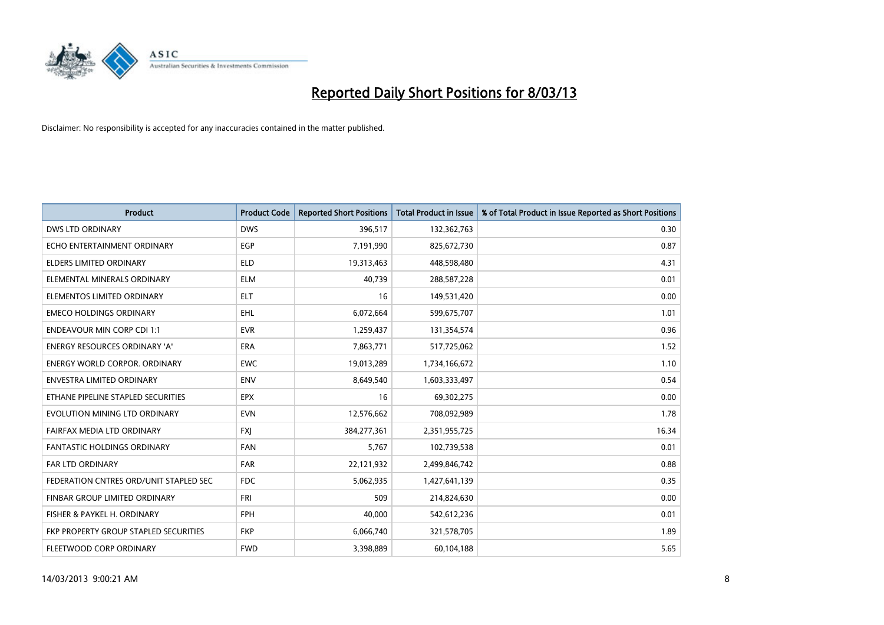

| <b>Product</b>                         | <b>Product Code</b> | <b>Reported Short Positions</b> | <b>Total Product in Issue</b> | % of Total Product in Issue Reported as Short Positions |
|----------------------------------------|---------------------|---------------------------------|-------------------------------|---------------------------------------------------------|
| <b>DWS LTD ORDINARY</b>                | <b>DWS</b>          | 396,517                         | 132,362,763                   | 0.30                                                    |
| ECHO ENTERTAINMENT ORDINARY            | <b>EGP</b>          | 7,191,990                       | 825,672,730                   | 0.87                                                    |
| <b>ELDERS LIMITED ORDINARY</b>         | <b>ELD</b>          | 19,313,463                      | 448,598,480                   | 4.31                                                    |
| ELEMENTAL MINERALS ORDINARY            | <b>ELM</b>          | 40,739                          | 288,587,228                   | 0.01                                                    |
| ELEMENTOS LIMITED ORDINARY             | <b>ELT</b>          | 16                              | 149,531,420                   | 0.00                                                    |
| <b>EMECO HOLDINGS ORDINARY</b>         | <b>EHL</b>          | 6,072,664                       | 599,675,707                   | 1.01                                                    |
| <b>ENDEAVOUR MIN CORP CDI 1:1</b>      | <b>EVR</b>          | 1,259,437                       | 131,354,574                   | 0.96                                                    |
| ENERGY RESOURCES ORDINARY 'A'          | <b>ERA</b>          | 7,863,771                       | 517,725,062                   | 1.52                                                    |
| <b>ENERGY WORLD CORPOR, ORDINARY</b>   | <b>EWC</b>          | 19,013,289                      | 1,734,166,672                 | 1.10                                                    |
| <b>ENVESTRA LIMITED ORDINARY</b>       | <b>ENV</b>          | 8,649,540                       | 1,603,333,497                 | 0.54                                                    |
| ETHANE PIPELINE STAPLED SECURITIES     | <b>EPX</b>          | 16                              | 69,302,275                    | 0.00                                                    |
| EVOLUTION MINING LTD ORDINARY          | <b>EVN</b>          | 12,576,662                      | 708,092,989                   | 1.78                                                    |
| FAIRFAX MEDIA LTD ORDINARY             | <b>FXI</b>          | 384,277,361                     | 2,351,955,725                 | 16.34                                                   |
| <b>FANTASTIC HOLDINGS ORDINARY</b>     | <b>FAN</b>          | 5,767                           | 102,739,538                   | 0.01                                                    |
| <b>FAR LTD ORDINARY</b>                | <b>FAR</b>          | 22,121,932                      | 2,499,846,742                 | 0.88                                                    |
| FEDERATION CNTRES ORD/UNIT STAPLED SEC | <b>FDC</b>          | 5,062,935                       | 1,427,641,139                 | 0.35                                                    |
| FINBAR GROUP LIMITED ORDINARY          | <b>FRI</b>          | 509                             | 214,824,630                   | 0.00                                                    |
| FISHER & PAYKEL H. ORDINARY            | <b>FPH</b>          | 40.000                          | 542,612,236                   | 0.01                                                    |
| FKP PROPERTY GROUP STAPLED SECURITIES  | <b>FKP</b>          | 6,066,740                       | 321,578,705                   | 1.89                                                    |
| FLEETWOOD CORP ORDINARY                | <b>FWD</b>          | 3,398,889                       | 60,104,188                    | 5.65                                                    |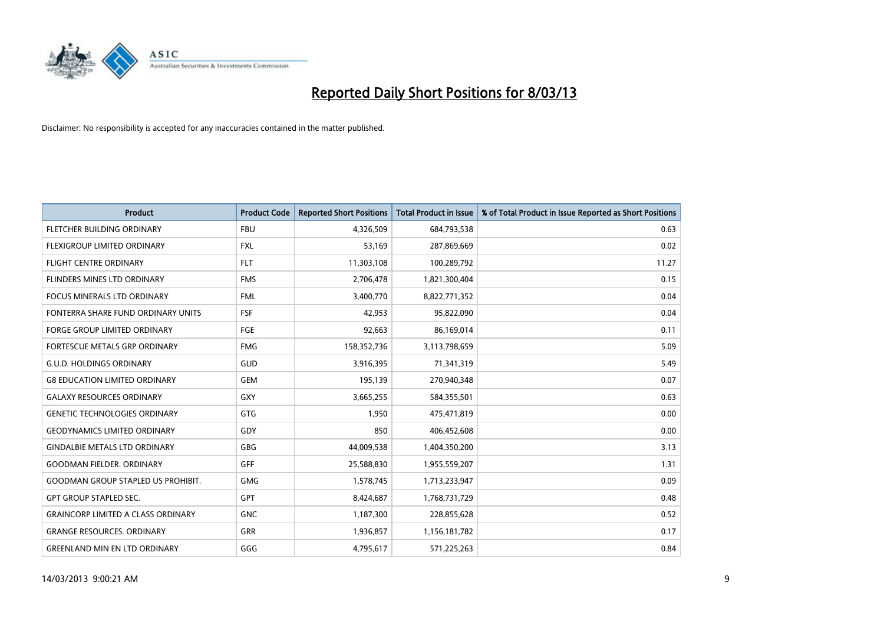

| <b>Product</b>                            | <b>Product Code</b> | <b>Reported Short Positions</b> | <b>Total Product in Issue</b> | % of Total Product in Issue Reported as Short Positions |
|-------------------------------------------|---------------------|---------------------------------|-------------------------------|---------------------------------------------------------|
| FLETCHER BUILDING ORDINARY                | <b>FBU</b>          | 4,326,509                       | 684,793,538                   | 0.63                                                    |
| FLEXIGROUP LIMITED ORDINARY               | FXL                 | 53,169                          | 287,869,669                   | 0.02                                                    |
| <b>FLIGHT CENTRE ORDINARY</b>             | <b>FLT</b>          | 11,303,108                      | 100,289,792                   | 11.27                                                   |
| FLINDERS MINES LTD ORDINARY               | <b>FMS</b>          | 2,706,478                       | 1,821,300,404                 | 0.15                                                    |
| <b>FOCUS MINERALS LTD ORDINARY</b>        | <b>FML</b>          | 3,400,770                       | 8,822,771,352                 | 0.04                                                    |
| FONTERRA SHARE FUND ORDINARY UNITS        | <b>FSF</b>          | 42,953                          | 95,822,090                    | 0.04                                                    |
| <b>FORGE GROUP LIMITED ORDINARY</b>       | <b>FGE</b>          | 92,663                          | 86,169,014                    | 0.11                                                    |
| FORTESCUE METALS GRP ORDINARY             | <b>FMG</b>          | 158,352,736                     | 3,113,798,659                 | 5.09                                                    |
| <b>G.U.D. HOLDINGS ORDINARY</b>           | GUD                 | 3,916,395                       | 71,341,319                    | 5.49                                                    |
| <b>G8 EDUCATION LIMITED ORDINARY</b>      | <b>GEM</b>          | 195,139                         | 270,940,348                   | 0.07                                                    |
| <b>GALAXY RESOURCES ORDINARY</b>          | GXY                 | 3,665,255                       | 584,355,501                   | 0.63                                                    |
| <b>GENETIC TECHNOLOGIES ORDINARY</b>      | GTG                 | 1,950                           | 475,471,819                   | 0.00                                                    |
| <b>GEODYNAMICS LIMITED ORDINARY</b>       | GDY                 | 850                             | 406,452,608                   | 0.00                                                    |
| <b>GINDALBIE METALS LTD ORDINARY</b>      | GBG                 | 44,009,538                      | 1,404,350,200                 | 3.13                                                    |
| <b>GOODMAN FIELDER, ORDINARY</b>          | <b>GFF</b>          | 25,588,830                      | 1,955,559,207                 | 1.31                                                    |
| <b>GOODMAN GROUP STAPLED US PROHIBIT.</b> | GMG                 | 1,578,745                       | 1,713,233,947                 | 0.09                                                    |
| <b>GPT GROUP STAPLED SEC.</b>             | GPT                 | 8,424,687                       | 1,768,731,729                 | 0.48                                                    |
| <b>GRAINCORP LIMITED A CLASS ORDINARY</b> | <b>GNC</b>          | 1,187,300                       | 228,855,628                   | 0.52                                                    |
| <b>GRANGE RESOURCES, ORDINARY</b>         | GRR                 | 1,936,857                       | 1,156,181,782                 | 0.17                                                    |
| <b>GREENLAND MIN EN LTD ORDINARY</b>      | GGG                 | 4,795,617                       | 571,225,263                   | 0.84                                                    |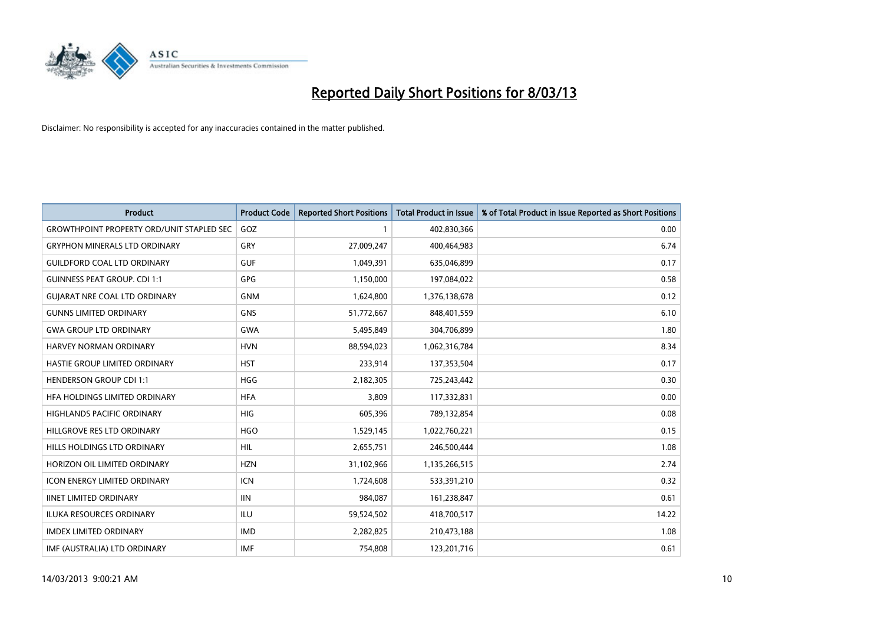

| <b>Product</b>                                   | <b>Product Code</b> | <b>Reported Short Positions</b> | <b>Total Product in Issue</b> | % of Total Product in Issue Reported as Short Positions |
|--------------------------------------------------|---------------------|---------------------------------|-------------------------------|---------------------------------------------------------|
| <b>GROWTHPOINT PROPERTY ORD/UNIT STAPLED SEC</b> | GOZ                 |                                 | 402,830,366                   | 0.00                                                    |
| <b>GRYPHON MINERALS LTD ORDINARY</b>             | <b>GRY</b>          | 27,009,247                      | 400,464,983                   | 6.74                                                    |
| <b>GUILDFORD COAL LTD ORDINARY</b>               | <b>GUF</b>          | 1,049,391                       | 635,046,899                   | 0.17                                                    |
| <b>GUINNESS PEAT GROUP. CDI 1:1</b>              | GPG                 | 1,150,000                       | 197,084,022                   | 0.58                                                    |
| <b>GUIARAT NRE COAL LTD ORDINARY</b>             | <b>GNM</b>          | 1,624,800                       | 1,376,138,678                 | 0.12                                                    |
| <b>GUNNS LIMITED ORDINARY</b>                    | <b>GNS</b>          | 51,772,667                      | 848,401,559                   | 6.10                                                    |
| <b>GWA GROUP LTD ORDINARY</b>                    | <b>GWA</b>          | 5,495,849                       | 304,706,899                   | 1.80                                                    |
| HARVEY NORMAN ORDINARY                           | <b>HVN</b>          | 88,594,023                      | 1,062,316,784                 | 8.34                                                    |
| HASTIE GROUP LIMITED ORDINARY                    | <b>HST</b>          | 233,914                         | 137,353,504                   | 0.17                                                    |
| <b>HENDERSON GROUP CDI 1:1</b>                   | <b>HGG</b>          | 2,182,305                       | 725,243,442                   | 0.30                                                    |
| HFA HOLDINGS LIMITED ORDINARY                    | <b>HFA</b>          | 3,809                           | 117,332,831                   | 0.00                                                    |
| <b>HIGHLANDS PACIFIC ORDINARY</b>                | <b>HIG</b>          | 605,396                         | 789,132,854                   | 0.08                                                    |
| HILLGROVE RES LTD ORDINARY                       | <b>HGO</b>          | 1,529,145                       | 1,022,760,221                 | 0.15                                                    |
| HILLS HOLDINGS LTD ORDINARY                      | <b>HIL</b>          | 2,655,751                       | 246,500,444                   | 1.08                                                    |
| HORIZON OIL LIMITED ORDINARY                     | <b>HZN</b>          | 31,102,966                      | 1,135,266,515                 | 2.74                                                    |
| <b>ICON ENERGY LIMITED ORDINARY</b>              | <b>ICN</b>          | 1,724,608                       | 533,391,210                   | 0.32                                                    |
| <b>IINET LIMITED ORDINARY</b>                    | <b>IIN</b>          | 984,087                         | 161,238,847                   | 0.61                                                    |
| ILUKA RESOURCES ORDINARY                         | ILU                 | 59,524,502                      | 418,700,517                   | 14.22                                                   |
| <b>IMDEX LIMITED ORDINARY</b>                    | <b>IMD</b>          | 2,282,825                       | 210,473,188                   | 1.08                                                    |
| IMF (AUSTRALIA) LTD ORDINARY                     | <b>IMF</b>          | 754,808                         | 123,201,716                   | 0.61                                                    |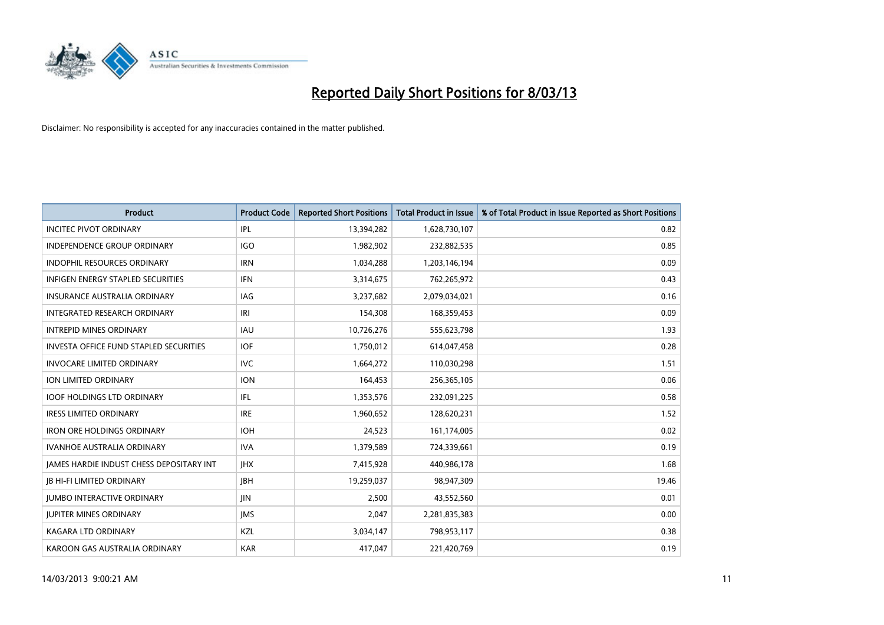

| <b>Product</b>                                | <b>Product Code</b> | <b>Reported Short Positions</b> | <b>Total Product in Issue</b> | % of Total Product in Issue Reported as Short Positions |
|-----------------------------------------------|---------------------|---------------------------------|-------------------------------|---------------------------------------------------------|
| <b>INCITEC PIVOT ORDINARY</b>                 | IPL                 | 13,394,282                      | 1,628,730,107                 | 0.82                                                    |
| <b>INDEPENDENCE GROUP ORDINARY</b>            | <b>IGO</b>          | 1,982,902                       | 232,882,535                   | 0.85                                                    |
| <b>INDOPHIL RESOURCES ORDINARY</b>            | <b>IRN</b>          | 1,034,288                       | 1,203,146,194                 | 0.09                                                    |
| INFIGEN ENERGY STAPLED SECURITIES             | <b>IFN</b>          | 3,314,675                       | 762,265,972                   | 0.43                                                    |
| <b>INSURANCE AUSTRALIA ORDINARY</b>           | IAG                 | 3,237,682                       | 2,079,034,021                 | 0.16                                                    |
| INTEGRATED RESEARCH ORDINARY                  | IRI                 | 154,308                         | 168,359,453                   | 0.09                                                    |
| <b>INTREPID MINES ORDINARY</b>                | <b>IAU</b>          | 10,726,276                      | 555,623,798                   | 1.93                                                    |
| <b>INVESTA OFFICE FUND STAPLED SECURITIES</b> | <b>IOF</b>          | 1,750,012                       | 614,047,458                   | 0.28                                                    |
| <b>INVOCARE LIMITED ORDINARY</b>              | IVC.                | 1,664,272                       | 110,030,298                   | 1.51                                                    |
| ION LIMITED ORDINARY                          | <b>ION</b>          | 164,453                         | 256,365,105                   | 0.06                                                    |
| <b>IOOF HOLDINGS LTD ORDINARY</b>             | IFL                 | 1,353,576                       | 232,091,225                   | 0.58                                                    |
| <b>IRESS LIMITED ORDINARY</b>                 | <b>IRE</b>          | 1,960,652                       | 128,620,231                   | 1.52                                                    |
| <b>IRON ORE HOLDINGS ORDINARY</b>             | <b>IOH</b>          | 24,523                          | 161,174,005                   | 0.02                                                    |
| <b>IVANHOE AUSTRALIA ORDINARY</b>             | <b>IVA</b>          | 1,379,589                       | 724,339,661                   | 0.19                                                    |
| JAMES HARDIE INDUST CHESS DEPOSITARY INT      | <b>IHX</b>          | 7,415,928                       | 440,986,178                   | 1.68                                                    |
| <b>JB HI-FI LIMITED ORDINARY</b>              | <b>JBH</b>          | 19,259,037                      | 98,947,309                    | 19.46                                                   |
| <b>JUMBO INTERACTIVE ORDINARY</b>             | JIN                 | 2,500                           | 43,552,560                    | 0.01                                                    |
| <b>JUPITER MINES ORDINARY</b>                 | <b>IMS</b>          | 2,047                           | 2,281,835,383                 | 0.00                                                    |
| KAGARA LTD ORDINARY                           | KZL                 | 3,034,147                       | 798,953,117                   | 0.38                                                    |
| KAROON GAS AUSTRALIA ORDINARY                 | <b>KAR</b>          | 417,047                         | 221,420,769                   | 0.19                                                    |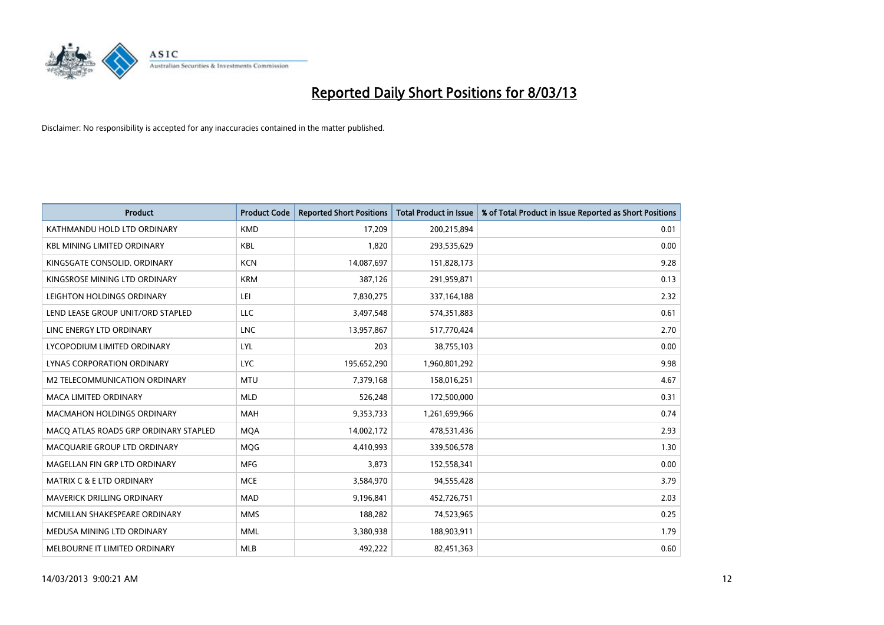

| <b>Product</b>                        | <b>Product Code</b> | <b>Reported Short Positions</b> | <b>Total Product in Issue</b> | % of Total Product in Issue Reported as Short Positions |
|---------------------------------------|---------------------|---------------------------------|-------------------------------|---------------------------------------------------------|
| KATHMANDU HOLD LTD ORDINARY           | <b>KMD</b>          | 17,209                          | 200,215,894                   | 0.01                                                    |
| <b>KBL MINING LIMITED ORDINARY</b>    | <b>KBL</b>          | 1,820                           | 293,535,629                   | 0.00                                                    |
| KINGSGATE CONSOLID. ORDINARY          | <b>KCN</b>          | 14,087,697                      | 151,828,173                   | 9.28                                                    |
| KINGSROSE MINING LTD ORDINARY         | <b>KRM</b>          | 387,126                         | 291,959,871                   | 0.13                                                    |
| LEIGHTON HOLDINGS ORDINARY            | LEI                 | 7,830,275                       | 337,164,188                   | 2.32                                                    |
| LEND LEASE GROUP UNIT/ORD STAPLED     | <b>LLC</b>          | 3,497,548                       | 574,351,883                   | 0.61                                                    |
| LINC ENERGY LTD ORDINARY              | <b>LNC</b>          | 13,957,867                      | 517,770,424                   | 2.70                                                    |
| LYCOPODIUM LIMITED ORDINARY           | <b>LYL</b>          | 203                             | 38,755,103                    | 0.00                                                    |
| LYNAS CORPORATION ORDINARY            | <b>LYC</b>          | 195,652,290                     | 1,960,801,292                 | 9.98                                                    |
| <b>M2 TELECOMMUNICATION ORDINARY</b>  | <b>MTU</b>          | 7,379,168                       | 158,016,251                   | 4.67                                                    |
| <b>MACA LIMITED ORDINARY</b>          | <b>MLD</b>          | 526,248                         | 172,500,000                   | 0.31                                                    |
| MACMAHON HOLDINGS ORDINARY            | MAH                 | 9,353,733                       | 1,261,699,966                 | 0.74                                                    |
| MACO ATLAS ROADS GRP ORDINARY STAPLED | <b>MOA</b>          | 14,002,172                      | 478,531,436                   | 2.93                                                    |
| MACQUARIE GROUP LTD ORDINARY          | <b>MQG</b>          | 4,410,993                       | 339,506,578                   | 1.30                                                    |
| MAGELLAN FIN GRP LTD ORDINARY         | <b>MFG</b>          | 3,873                           | 152,558,341                   | 0.00                                                    |
| <b>MATRIX C &amp; E LTD ORDINARY</b>  | <b>MCE</b>          | 3,584,970                       | 94,555,428                    | 3.79                                                    |
| MAVERICK DRILLING ORDINARY            | MAD                 | 9,196,841                       | 452,726,751                   | 2.03                                                    |
| MCMILLAN SHAKESPEARE ORDINARY         | <b>MMS</b>          | 188,282                         | 74,523,965                    | 0.25                                                    |
| MEDUSA MINING LTD ORDINARY            | <b>MML</b>          | 3,380,938                       | 188,903,911                   | 1.79                                                    |
| MELBOURNE IT LIMITED ORDINARY         | <b>MLB</b>          | 492,222                         | 82,451,363                    | 0.60                                                    |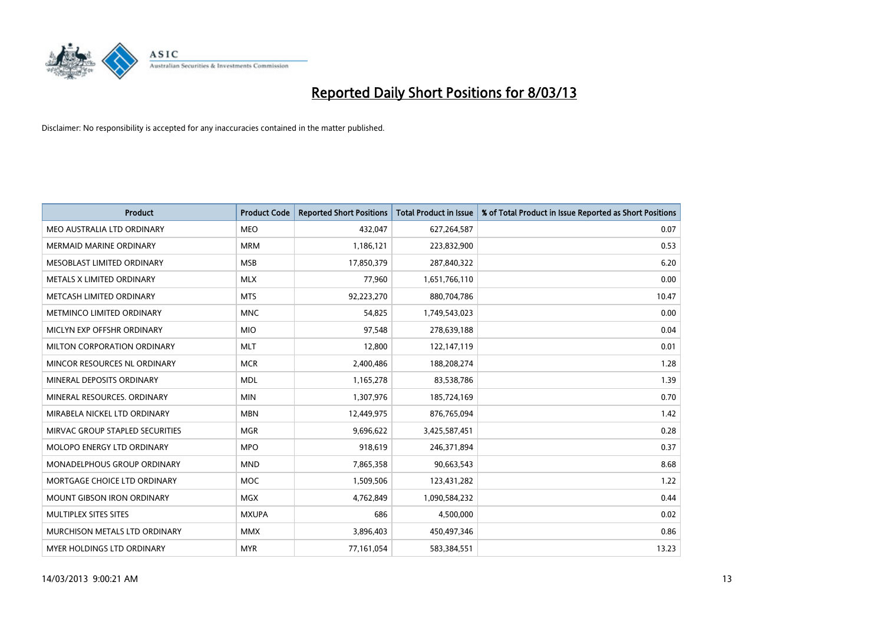

| <b>Product</b>                  | <b>Product Code</b> | <b>Reported Short Positions</b> | <b>Total Product in Issue</b> | % of Total Product in Issue Reported as Short Positions |
|---------------------------------|---------------------|---------------------------------|-------------------------------|---------------------------------------------------------|
| MEO AUSTRALIA LTD ORDINARY      | <b>MEO</b>          | 432,047                         | 627,264,587                   | 0.07                                                    |
| MERMAID MARINE ORDINARY         | <b>MRM</b>          | 1,186,121                       | 223,832,900                   | 0.53                                                    |
| MESOBLAST LIMITED ORDINARY      | <b>MSB</b>          | 17,850,379                      | 287,840,322                   | 6.20                                                    |
| METALS X LIMITED ORDINARY       | <b>MLX</b>          | 77,960                          | 1,651,766,110                 | 0.00                                                    |
| METCASH LIMITED ORDINARY        | <b>MTS</b>          | 92,223,270                      | 880,704,786                   | 10.47                                                   |
| METMINCO LIMITED ORDINARY       | <b>MNC</b>          | 54,825                          | 1,749,543,023                 | 0.00                                                    |
| MICLYN EXP OFFSHR ORDINARY      | <b>MIO</b>          | 97,548                          | 278,639,188                   | 0.04                                                    |
| MILTON CORPORATION ORDINARY     | <b>MLT</b>          | 12,800                          | 122,147,119                   | 0.01                                                    |
| MINCOR RESOURCES NL ORDINARY    | <b>MCR</b>          | 2,400,486                       | 188,208,274                   | 1.28                                                    |
| MINERAL DEPOSITS ORDINARY       | <b>MDL</b>          | 1,165,278                       | 83,538,786                    | 1.39                                                    |
| MINERAL RESOURCES. ORDINARY     | <b>MIN</b>          | 1,307,976                       | 185,724,169                   | 0.70                                                    |
| MIRABELA NICKEL LTD ORDINARY    | <b>MBN</b>          | 12,449,975                      | 876,765,094                   | 1.42                                                    |
| MIRVAC GROUP STAPLED SECURITIES | <b>MGR</b>          | 9,696,622                       | 3,425,587,451                 | 0.28                                                    |
| MOLOPO ENERGY LTD ORDINARY      | <b>MPO</b>          | 918,619                         | 246,371,894                   | 0.37                                                    |
| MONADELPHOUS GROUP ORDINARY     | <b>MND</b>          | 7,865,358                       | 90,663,543                    | 8.68                                                    |
| MORTGAGE CHOICE LTD ORDINARY    | MOC                 | 1,509,506                       | 123,431,282                   | 1.22                                                    |
| MOUNT GIBSON IRON ORDINARY      | <b>MGX</b>          | 4,762,849                       | 1,090,584,232                 | 0.44                                                    |
| MULTIPLEX SITES SITES           | <b>MXUPA</b>        | 686                             | 4,500,000                     | 0.02                                                    |
| MURCHISON METALS LTD ORDINARY   | <b>MMX</b>          | 3,896,403                       | 450,497,346                   | 0.86                                                    |
| MYER HOLDINGS LTD ORDINARY      | <b>MYR</b>          | 77,161,054                      | 583,384,551                   | 13.23                                                   |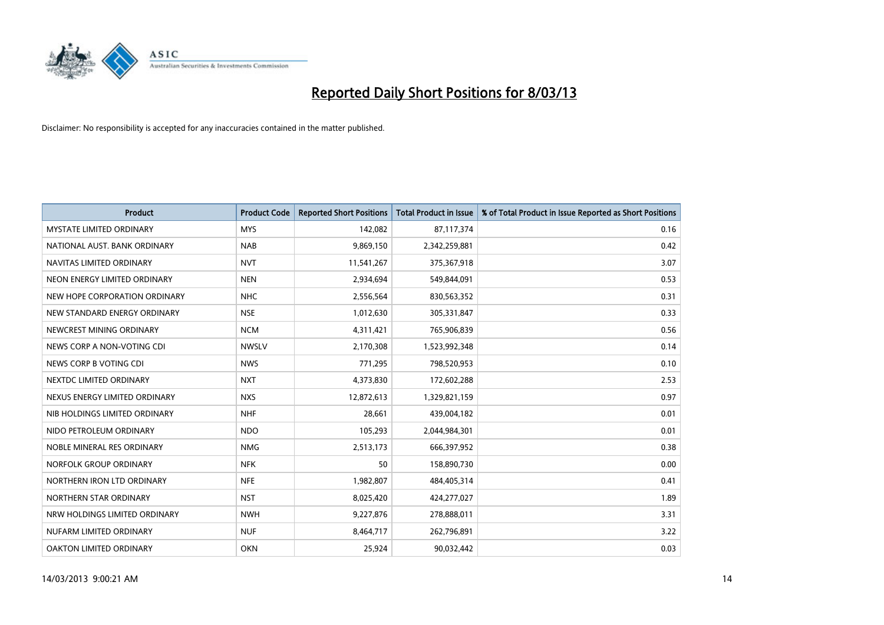

| <b>Product</b>                  | <b>Product Code</b> | <b>Reported Short Positions</b> | <b>Total Product in Issue</b> | % of Total Product in Issue Reported as Short Positions |
|---------------------------------|---------------------|---------------------------------|-------------------------------|---------------------------------------------------------|
| <b>MYSTATE LIMITED ORDINARY</b> | <b>MYS</b>          | 142,082                         | 87,117,374                    | 0.16                                                    |
| NATIONAL AUST. BANK ORDINARY    | <b>NAB</b>          | 9,869,150                       | 2,342,259,881                 | 0.42                                                    |
| NAVITAS LIMITED ORDINARY        | <b>NVT</b>          | 11,541,267                      | 375,367,918                   | 3.07                                                    |
| NEON ENERGY LIMITED ORDINARY    | <b>NEN</b>          | 2,934,694                       | 549,844,091                   | 0.53                                                    |
| NEW HOPE CORPORATION ORDINARY   | <b>NHC</b>          | 2,556,564                       | 830,563,352                   | 0.31                                                    |
| NEW STANDARD ENERGY ORDINARY    | <b>NSE</b>          | 1,012,630                       | 305,331,847                   | 0.33                                                    |
| NEWCREST MINING ORDINARY        | <b>NCM</b>          | 4,311,421                       | 765,906,839                   | 0.56                                                    |
| NEWS CORP A NON-VOTING CDI      | <b>NWSLV</b>        | 2,170,308                       | 1,523,992,348                 | 0.14                                                    |
| NEWS CORP B VOTING CDI          | <b>NWS</b>          | 771,295                         | 798,520,953                   | 0.10                                                    |
| NEXTDC LIMITED ORDINARY         | <b>NXT</b>          | 4,373,830                       | 172,602,288                   | 2.53                                                    |
| NEXUS ENERGY LIMITED ORDINARY   | <b>NXS</b>          | 12,872,613                      | 1,329,821,159                 | 0.97                                                    |
| NIB HOLDINGS LIMITED ORDINARY   | <b>NHF</b>          | 28,661                          | 439,004,182                   | 0.01                                                    |
| NIDO PETROLEUM ORDINARY         | <b>NDO</b>          | 105,293                         | 2,044,984,301                 | 0.01                                                    |
| NOBLE MINERAL RES ORDINARY      | <b>NMG</b>          | 2,513,173                       | 666,397,952                   | 0.38                                                    |
| NORFOLK GROUP ORDINARY          | <b>NFK</b>          | 50                              | 158,890,730                   | 0.00                                                    |
| NORTHERN IRON LTD ORDINARY      | <b>NFE</b>          | 1,982,807                       | 484,405,314                   | 0.41                                                    |
| NORTHERN STAR ORDINARY          | <b>NST</b>          | 8,025,420                       | 424,277,027                   | 1.89                                                    |
| NRW HOLDINGS LIMITED ORDINARY   | <b>NWH</b>          | 9,227,876                       | 278,888,011                   | 3.31                                                    |
| NUFARM LIMITED ORDINARY         | <b>NUF</b>          | 8,464,717                       | 262,796,891                   | 3.22                                                    |
| OAKTON LIMITED ORDINARY         | <b>OKN</b>          | 25,924                          | 90,032,442                    | 0.03                                                    |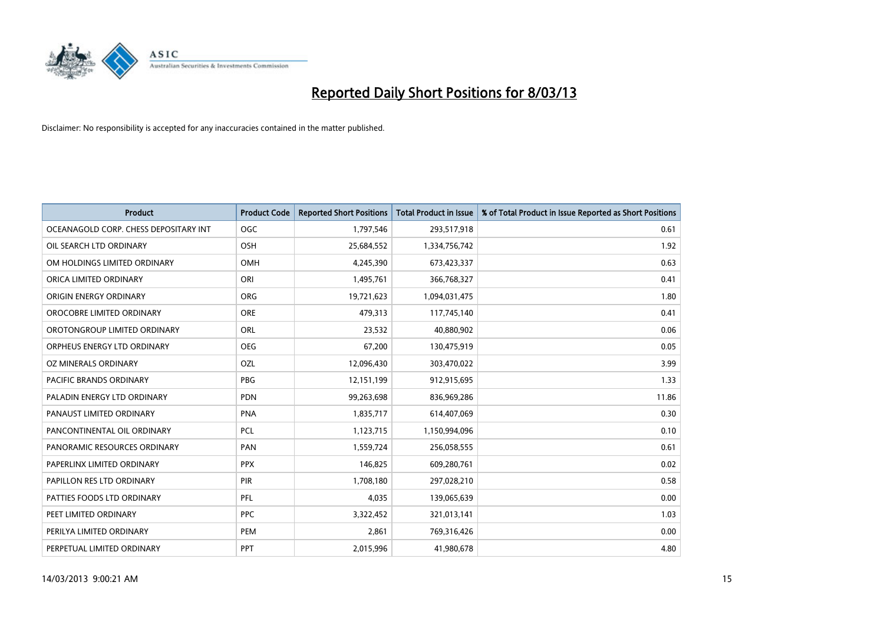

| <b>Product</b>                        | <b>Product Code</b> | <b>Reported Short Positions</b> | <b>Total Product in Issue</b> | % of Total Product in Issue Reported as Short Positions |
|---------------------------------------|---------------------|---------------------------------|-------------------------------|---------------------------------------------------------|
| OCEANAGOLD CORP. CHESS DEPOSITARY INT | <b>OGC</b>          | 1,797,546                       | 293,517,918                   | 0.61                                                    |
| OIL SEARCH LTD ORDINARY               | <b>OSH</b>          | 25,684,552                      | 1,334,756,742                 | 1.92                                                    |
| OM HOLDINGS LIMITED ORDINARY          | OMH                 | 4,245,390                       | 673,423,337                   | 0.63                                                    |
| ORICA LIMITED ORDINARY                | ORI                 | 1,495,761                       | 366,768,327                   | 0.41                                                    |
| ORIGIN ENERGY ORDINARY                | <b>ORG</b>          | 19,721,623                      | 1,094,031,475                 | 1.80                                                    |
| OROCOBRE LIMITED ORDINARY             | <b>ORE</b>          | 479,313                         | 117,745,140                   | 0.41                                                    |
| OROTONGROUP LIMITED ORDINARY          | ORL                 | 23,532                          | 40,880,902                    | 0.06                                                    |
| ORPHEUS ENERGY LTD ORDINARY           | <b>OEG</b>          | 67,200                          | 130,475,919                   | 0.05                                                    |
| <b>OZ MINERALS ORDINARY</b>           | OZL                 | 12,096,430                      | 303,470,022                   | 3.99                                                    |
| <b>PACIFIC BRANDS ORDINARY</b>        | <b>PBG</b>          | 12,151,199                      | 912,915,695                   | 1.33                                                    |
| PALADIN ENERGY LTD ORDINARY           | <b>PDN</b>          | 99,263,698                      | 836,969,286                   | 11.86                                                   |
| PANAUST LIMITED ORDINARY              | <b>PNA</b>          | 1,835,717                       | 614,407,069                   | 0.30                                                    |
| PANCONTINENTAL OIL ORDINARY           | <b>PCL</b>          | 1,123,715                       | 1,150,994,096                 | 0.10                                                    |
| PANORAMIC RESOURCES ORDINARY          | PAN                 | 1,559,724                       | 256,058,555                   | 0.61                                                    |
| PAPERLINX LIMITED ORDINARY            | <b>PPX</b>          | 146,825                         | 609,280,761                   | 0.02                                                    |
| PAPILLON RES LTD ORDINARY             | PIR                 | 1,708,180                       | 297,028,210                   | 0.58                                                    |
| PATTIES FOODS LTD ORDINARY            | PFL                 | 4,035                           | 139,065,639                   | 0.00                                                    |
| PEET LIMITED ORDINARY                 | <b>PPC</b>          | 3,322,452                       | 321,013,141                   | 1.03                                                    |
| PERILYA LIMITED ORDINARY              | <b>PEM</b>          | 2,861                           | 769,316,426                   | 0.00                                                    |
| PERPETUAL LIMITED ORDINARY            | PPT                 | 2,015,996                       | 41,980,678                    | 4.80                                                    |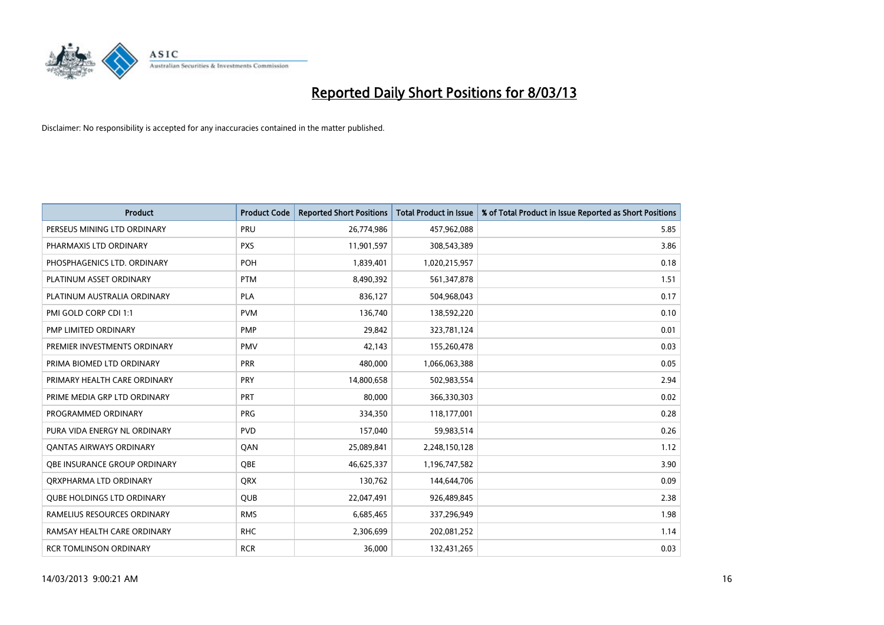

| <b>Product</b>                    | <b>Product Code</b> | <b>Reported Short Positions</b> | <b>Total Product in Issue</b> | % of Total Product in Issue Reported as Short Positions |
|-----------------------------------|---------------------|---------------------------------|-------------------------------|---------------------------------------------------------|
| PERSEUS MINING LTD ORDINARY       | PRU                 | 26,774,986                      | 457,962,088                   | 5.85                                                    |
| PHARMAXIS LTD ORDINARY            | <b>PXS</b>          | 11,901,597                      | 308,543,389                   | 3.86                                                    |
| PHOSPHAGENICS LTD. ORDINARY       | POH                 | 1,839,401                       | 1,020,215,957                 | 0.18                                                    |
| PLATINUM ASSET ORDINARY           | <b>PTM</b>          | 8,490,392                       | 561,347,878                   | 1.51                                                    |
| PLATINUM AUSTRALIA ORDINARY       | <b>PLA</b>          | 836,127                         | 504,968,043                   | 0.17                                                    |
| PMI GOLD CORP CDI 1:1             | <b>PVM</b>          | 136,740                         | 138,592,220                   | 0.10                                                    |
| PMP LIMITED ORDINARY              | <b>PMP</b>          | 29,842                          | 323,781,124                   | 0.01                                                    |
| PREMIER INVESTMENTS ORDINARY      | <b>PMV</b>          | 42,143                          | 155,260,478                   | 0.03                                                    |
| PRIMA BIOMED LTD ORDINARY         | <b>PRR</b>          | 480,000                         | 1,066,063,388                 | 0.05                                                    |
| PRIMARY HEALTH CARE ORDINARY      | <b>PRY</b>          | 14,800,658                      | 502,983,554                   | 2.94                                                    |
| PRIME MEDIA GRP LTD ORDINARY      | <b>PRT</b>          | 80,000                          | 366,330,303                   | 0.02                                                    |
| PROGRAMMED ORDINARY               | <b>PRG</b>          | 334,350                         | 118,177,001                   | 0.28                                                    |
| PURA VIDA ENERGY NL ORDINARY      | <b>PVD</b>          | 157,040                         | 59,983,514                    | 0.26                                                    |
| <b>QANTAS AIRWAYS ORDINARY</b>    | QAN                 | 25,089,841                      | 2,248,150,128                 | 1.12                                                    |
| OBE INSURANCE GROUP ORDINARY      | <b>OBE</b>          | 46,625,337                      | 1,196,747,582                 | 3.90                                                    |
| ORXPHARMA LTD ORDINARY            | QRX                 | 130,762                         | 144,644,706                   | 0.09                                                    |
| <b>QUBE HOLDINGS LTD ORDINARY</b> | QUB                 | 22,047,491                      | 926,489,845                   | 2.38                                                    |
| RAMELIUS RESOURCES ORDINARY       | <b>RMS</b>          | 6,685,465                       | 337,296,949                   | 1.98                                                    |
| RAMSAY HEALTH CARE ORDINARY       | <b>RHC</b>          | 2,306,699                       | 202,081,252                   | 1.14                                                    |
| <b>RCR TOMLINSON ORDINARY</b>     | <b>RCR</b>          | 36,000                          | 132,431,265                   | 0.03                                                    |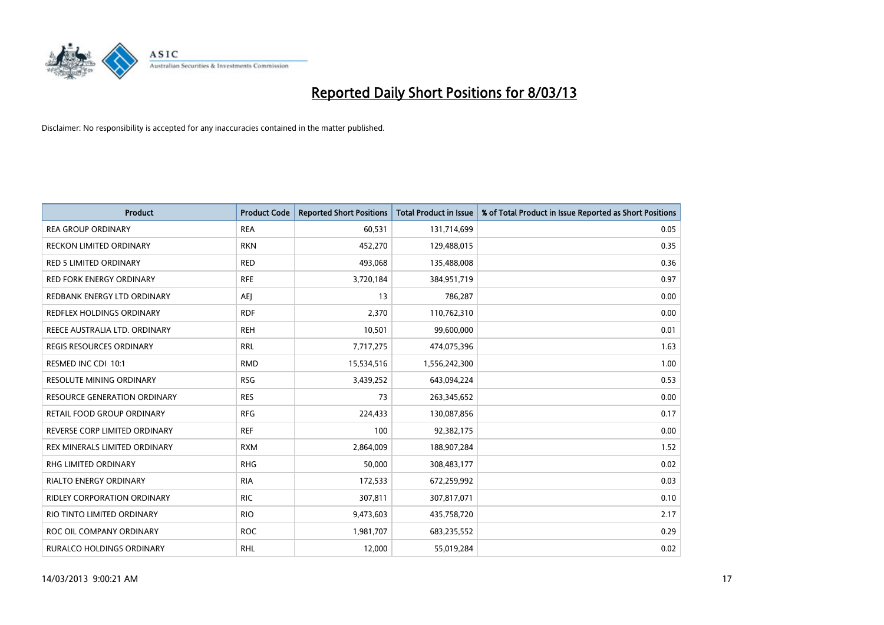

| <b>Product</b>                   | <b>Product Code</b> | <b>Reported Short Positions</b> | <b>Total Product in Issue</b> | % of Total Product in Issue Reported as Short Positions |
|----------------------------------|---------------------|---------------------------------|-------------------------------|---------------------------------------------------------|
| <b>REA GROUP ORDINARY</b>        | <b>REA</b>          | 60,531                          | 131,714,699                   | 0.05                                                    |
| RECKON LIMITED ORDINARY          | <b>RKN</b>          | 452,270                         | 129,488,015                   | 0.35                                                    |
| <b>RED 5 LIMITED ORDINARY</b>    | <b>RED</b>          | 493,068                         | 135,488,008                   | 0.36                                                    |
| <b>RED FORK ENERGY ORDINARY</b>  | <b>RFE</b>          | 3,720,184                       | 384,951,719                   | 0.97                                                    |
| REDBANK ENERGY LTD ORDINARY      | <b>AEI</b>          | 13                              | 786,287                       | 0.00                                                    |
| <b>REDFLEX HOLDINGS ORDINARY</b> | <b>RDF</b>          | 2,370                           | 110,762,310                   | 0.00                                                    |
| REECE AUSTRALIA LTD. ORDINARY    | <b>REH</b>          | 10,501                          | 99,600,000                    | 0.01                                                    |
| REGIS RESOURCES ORDINARY         | <b>RRL</b>          | 7,717,275                       | 474,075,396                   | 1.63                                                    |
| RESMED INC CDI 10:1              | <b>RMD</b>          | 15,534,516                      | 1,556,242,300                 | 1.00                                                    |
| <b>RESOLUTE MINING ORDINARY</b>  | <b>RSG</b>          | 3,439,252                       | 643,094,224                   | 0.53                                                    |
| RESOURCE GENERATION ORDINARY     | <b>RES</b>          | 73                              | 263,345,652                   | 0.00                                                    |
| RETAIL FOOD GROUP ORDINARY       | <b>RFG</b>          | 224,433                         | 130,087,856                   | 0.17                                                    |
| REVERSE CORP LIMITED ORDINARY    | <b>REF</b>          | 100                             | 92,382,175                    | 0.00                                                    |
| REX MINERALS LIMITED ORDINARY    | <b>RXM</b>          | 2,864,009                       | 188,907,284                   | 1.52                                                    |
| <b>RHG LIMITED ORDINARY</b>      | <b>RHG</b>          | 50,000                          | 308,483,177                   | 0.02                                                    |
| RIALTO ENERGY ORDINARY           | <b>RIA</b>          | 172,533                         | 672,259,992                   | 0.03                                                    |
| RIDLEY CORPORATION ORDINARY      | <b>RIC</b>          | 307,811                         | 307,817,071                   | 0.10                                                    |
| RIO TINTO LIMITED ORDINARY       | <b>RIO</b>          | 9,473,603                       | 435,758,720                   | 2.17                                                    |
| ROC OIL COMPANY ORDINARY         | <b>ROC</b>          | 1,981,707                       | 683,235,552                   | 0.29                                                    |
| RURALCO HOLDINGS ORDINARY        | <b>RHL</b>          | 12,000                          | 55,019,284                    | 0.02                                                    |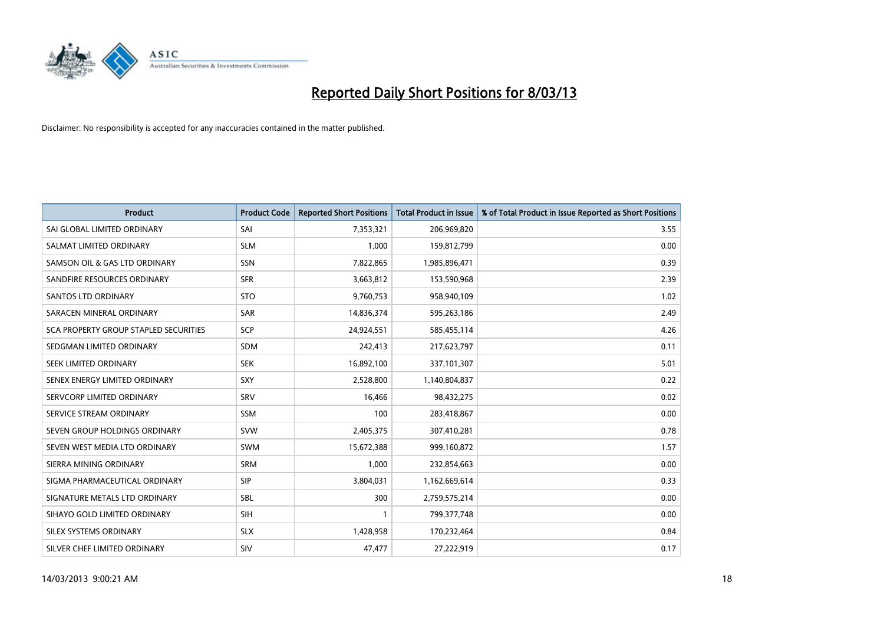

| <b>Product</b>                        | <b>Product Code</b> | <b>Reported Short Positions</b> | <b>Total Product in Issue</b> | % of Total Product in Issue Reported as Short Positions |
|---------------------------------------|---------------------|---------------------------------|-------------------------------|---------------------------------------------------------|
| SAI GLOBAL LIMITED ORDINARY           | SAI                 | 7,353,321                       | 206,969,820                   | 3.55                                                    |
| SALMAT LIMITED ORDINARY               | <b>SLM</b>          | 1,000                           | 159,812,799                   | 0.00                                                    |
| SAMSON OIL & GAS LTD ORDINARY         | <b>SSN</b>          | 7,822,865                       | 1,985,896,471                 | 0.39                                                    |
| SANDFIRE RESOURCES ORDINARY           | <b>SFR</b>          | 3,663,812                       | 153,590,968                   | 2.39                                                    |
| <b>SANTOS LTD ORDINARY</b>            | <b>STO</b>          | 9,760,753                       | 958,940,109                   | 1.02                                                    |
| SARACEN MINERAL ORDINARY              | <b>SAR</b>          | 14,836,374                      | 595,263,186                   | 2.49                                                    |
| SCA PROPERTY GROUP STAPLED SECURITIES | <b>SCP</b>          | 24,924,551                      | 585,455,114                   | 4.26                                                    |
| SEDGMAN LIMITED ORDINARY              | <b>SDM</b>          | 242,413                         | 217,623,797                   | 0.11                                                    |
| SEEK LIMITED ORDINARY                 | <b>SEK</b>          | 16,892,100                      | 337,101,307                   | 5.01                                                    |
| SENEX ENERGY LIMITED ORDINARY         | <b>SXY</b>          | 2,528,800                       | 1,140,804,837                 | 0.22                                                    |
| SERVCORP LIMITED ORDINARY             | SRV                 | 16,466                          | 98,432,275                    | 0.02                                                    |
| SERVICE STREAM ORDINARY               | SSM                 | 100                             | 283,418,867                   | 0.00                                                    |
| SEVEN GROUP HOLDINGS ORDINARY         | <b>SVW</b>          | 2,405,375                       | 307,410,281                   | 0.78                                                    |
| SEVEN WEST MEDIA LTD ORDINARY         | <b>SWM</b>          | 15,672,388                      | 999,160,872                   | 1.57                                                    |
| SIERRA MINING ORDINARY                | <b>SRM</b>          | 1,000                           | 232,854,663                   | 0.00                                                    |
| SIGMA PHARMACEUTICAL ORDINARY         | <b>SIP</b>          | 3,804,031                       | 1,162,669,614                 | 0.33                                                    |
| SIGNATURE METALS LTD ORDINARY         | SBL                 | 300                             | 2,759,575,214                 | 0.00                                                    |
| SIHAYO GOLD LIMITED ORDINARY          | <b>SIH</b>          | 1                               | 799,377,748                   | 0.00                                                    |
| SILEX SYSTEMS ORDINARY                | <b>SLX</b>          | 1,428,958                       | 170,232,464                   | 0.84                                                    |
| SILVER CHEF LIMITED ORDINARY          | SIV                 | 47,477                          | 27,222,919                    | 0.17                                                    |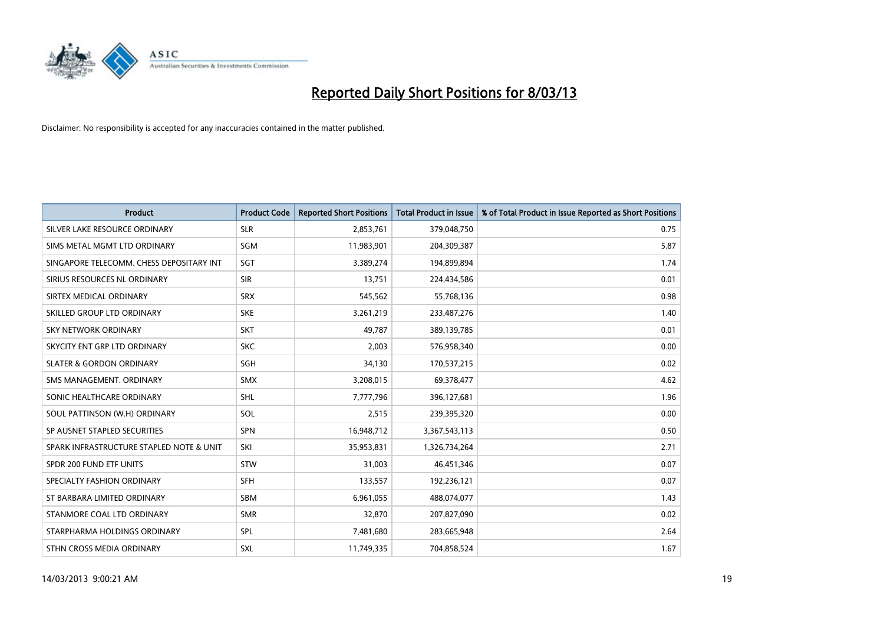

| <b>Product</b>                           | <b>Product Code</b> | <b>Reported Short Positions</b> | <b>Total Product in Issue</b> | % of Total Product in Issue Reported as Short Positions |
|------------------------------------------|---------------------|---------------------------------|-------------------------------|---------------------------------------------------------|
| SILVER LAKE RESOURCE ORDINARY            | <b>SLR</b>          | 2,853,761                       | 379,048,750                   | 0.75                                                    |
| SIMS METAL MGMT LTD ORDINARY             | SGM                 | 11,983,901                      | 204,309,387                   | 5.87                                                    |
| SINGAPORE TELECOMM. CHESS DEPOSITARY INT | SGT                 | 3,389,274                       | 194,899,894                   | 1.74                                                    |
| SIRIUS RESOURCES NL ORDINARY             | <b>SIR</b>          | 13,751                          | 224,434,586                   | 0.01                                                    |
| SIRTEX MEDICAL ORDINARY                  | <b>SRX</b>          | 545,562                         | 55,768,136                    | 0.98                                                    |
| SKILLED GROUP LTD ORDINARY               | <b>SKE</b>          | 3,261,219                       | 233,487,276                   | 1.40                                                    |
| <b>SKY NETWORK ORDINARY</b>              | <b>SKT</b>          | 49.787                          | 389,139,785                   | 0.01                                                    |
| SKYCITY ENT GRP LTD ORDINARY             | <b>SKC</b>          | 2,003                           | 576,958,340                   | 0.00                                                    |
| <b>SLATER &amp; GORDON ORDINARY</b>      | <b>SGH</b>          | 34,130                          | 170,537,215                   | 0.02                                                    |
| SMS MANAGEMENT, ORDINARY                 | <b>SMX</b>          | 3,208,015                       | 69,378,477                    | 4.62                                                    |
| SONIC HEALTHCARE ORDINARY                | SHL                 | 7,777,796                       | 396,127,681                   | 1.96                                                    |
| SOUL PATTINSON (W.H) ORDINARY            | SOL                 | 2,515                           | 239,395,320                   | 0.00                                                    |
| SP AUSNET STAPLED SECURITIES             | <b>SPN</b>          | 16,948,712                      | 3,367,543,113                 | 0.50                                                    |
| SPARK INFRASTRUCTURE STAPLED NOTE & UNIT | SKI                 | 35,953,831                      | 1,326,734,264                 | 2.71                                                    |
| SPDR 200 FUND ETF UNITS                  | <b>STW</b>          | 31,003                          | 46,451,346                    | 0.07                                                    |
| SPECIALTY FASHION ORDINARY               | <b>SFH</b>          | 133,557                         | 192,236,121                   | 0.07                                                    |
| ST BARBARA LIMITED ORDINARY              | <b>SBM</b>          | 6,961,055                       | 488,074,077                   | 1.43                                                    |
| STANMORE COAL LTD ORDINARY               | <b>SMR</b>          | 32,870                          | 207,827,090                   | 0.02                                                    |
| STARPHARMA HOLDINGS ORDINARY             | SPL                 | 7,481,680                       | 283,665,948                   | 2.64                                                    |
| STHN CROSS MEDIA ORDINARY                | SXL                 | 11,749,335                      | 704,858,524                   | 1.67                                                    |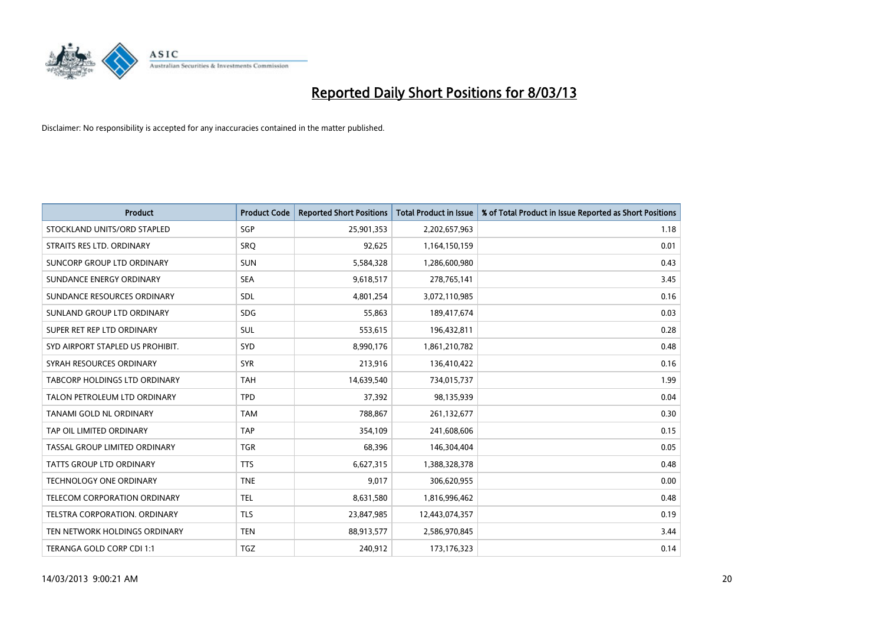

| <b>Product</b>                   | <b>Product Code</b> | <b>Reported Short Positions</b> | <b>Total Product in Issue</b> | % of Total Product in Issue Reported as Short Positions |
|----------------------------------|---------------------|---------------------------------|-------------------------------|---------------------------------------------------------|
| STOCKLAND UNITS/ORD STAPLED      | SGP                 | 25,901,353                      | 2,202,657,963                 | 1.18                                                    |
| STRAITS RES LTD. ORDINARY        | <b>SRQ</b>          | 92,625                          | 1,164,150,159                 | 0.01                                                    |
| SUNCORP GROUP LTD ORDINARY       | <b>SUN</b>          | 5,584,328                       | 1,286,600,980                 | 0.43                                                    |
| SUNDANCE ENERGY ORDINARY         | <b>SEA</b>          | 9,618,517                       | 278,765,141                   | 3.45                                                    |
| SUNDANCE RESOURCES ORDINARY      | SDL                 | 4,801,254                       | 3,072,110,985                 | 0.16                                                    |
| SUNLAND GROUP LTD ORDINARY       | <b>SDG</b>          | 55,863                          | 189,417,674                   | 0.03                                                    |
| SUPER RET REP LTD ORDINARY       | SUL                 | 553,615                         | 196,432,811                   | 0.28                                                    |
| SYD AIRPORT STAPLED US PROHIBIT. | SYD                 | 8,990,176                       | 1,861,210,782                 | 0.48                                                    |
| SYRAH RESOURCES ORDINARY         | <b>SYR</b>          | 213,916                         | 136,410,422                   | 0.16                                                    |
| TABCORP HOLDINGS LTD ORDINARY    | <b>TAH</b>          | 14,639,540                      | 734,015,737                   | 1.99                                                    |
| TALON PETROLEUM LTD ORDINARY     | <b>TPD</b>          | 37,392                          | 98,135,939                    | 0.04                                                    |
| TANAMI GOLD NL ORDINARY          | <b>TAM</b>          | 788,867                         | 261,132,677                   | 0.30                                                    |
| TAP OIL LIMITED ORDINARY         | <b>TAP</b>          | 354,109                         | 241,608,606                   | 0.15                                                    |
| TASSAL GROUP LIMITED ORDINARY    | <b>TGR</b>          | 68,396                          | 146,304,404                   | 0.05                                                    |
| TATTS GROUP LTD ORDINARY         | <b>TTS</b>          | 6,627,315                       | 1,388,328,378                 | 0.48                                                    |
| TECHNOLOGY ONE ORDINARY          | <b>TNE</b>          | 9,017                           | 306,620,955                   | 0.00                                                    |
| TELECOM CORPORATION ORDINARY     | <b>TEL</b>          | 8,631,580                       | 1,816,996,462                 | 0.48                                                    |
| TELSTRA CORPORATION. ORDINARY    | <b>TLS</b>          | 23,847,985                      | 12,443,074,357                | 0.19                                                    |
| TEN NETWORK HOLDINGS ORDINARY    | <b>TEN</b>          | 88,913,577                      | 2,586,970,845                 | 3.44                                                    |
| TERANGA GOLD CORP CDI 1:1        | <b>TGZ</b>          | 240,912                         | 173,176,323                   | 0.14                                                    |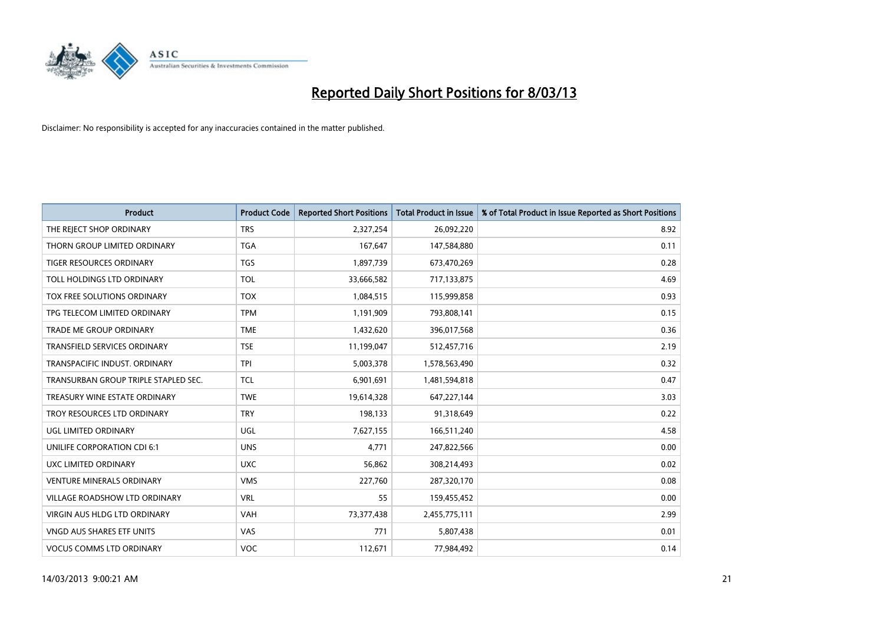

| <b>Product</b>                       | <b>Product Code</b> | <b>Reported Short Positions</b> | <b>Total Product in Issue</b> | % of Total Product in Issue Reported as Short Positions |
|--------------------------------------|---------------------|---------------------------------|-------------------------------|---------------------------------------------------------|
| THE REJECT SHOP ORDINARY             | <b>TRS</b>          | 2,327,254                       | 26,092,220                    | 8.92                                                    |
| THORN GROUP LIMITED ORDINARY         | TGA                 | 167,647                         | 147,584,880                   | 0.11                                                    |
| <b>TIGER RESOURCES ORDINARY</b>      | <b>TGS</b>          | 1,897,739                       | 673,470,269                   | 0.28                                                    |
| TOLL HOLDINGS LTD ORDINARY           | <b>TOL</b>          | 33,666,582                      | 717,133,875                   | 4.69                                                    |
| TOX FREE SOLUTIONS ORDINARY          | <b>TOX</b>          | 1,084,515                       | 115,999,858                   | 0.93                                                    |
| TPG TELECOM LIMITED ORDINARY         | <b>TPM</b>          | 1,191,909                       | 793,808,141                   | 0.15                                                    |
| TRADE ME GROUP ORDINARY              | <b>TME</b>          | 1,432,620                       | 396,017,568                   | 0.36                                                    |
| TRANSFIELD SERVICES ORDINARY         | <b>TSE</b>          | 11,199,047                      | 512,457,716                   | 2.19                                                    |
| TRANSPACIFIC INDUST, ORDINARY        | <b>TPI</b>          | 5,003,378                       | 1,578,563,490                 | 0.32                                                    |
| TRANSURBAN GROUP TRIPLE STAPLED SEC. | <b>TCL</b>          | 6,901,691                       | 1,481,594,818                 | 0.47                                                    |
| TREASURY WINE ESTATE ORDINARY        | <b>TWE</b>          | 19,614,328                      | 647,227,144                   | 3.03                                                    |
| TROY RESOURCES LTD ORDINARY          | <b>TRY</b>          | 198,133                         | 91,318,649                    | 0.22                                                    |
| UGL LIMITED ORDINARY                 | UGL                 | 7,627,155                       | 166,511,240                   | 4.58                                                    |
| UNILIFE CORPORATION CDI 6:1          | <b>UNS</b>          | 4,771                           | 247,822,566                   | 0.00                                                    |
| UXC LIMITED ORDINARY                 | <b>UXC</b>          | 56,862                          | 308,214,493                   | 0.02                                                    |
| <b>VENTURE MINERALS ORDINARY</b>     | <b>VMS</b>          | 227,760                         | 287,320,170                   | 0.08                                                    |
| VILLAGE ROADSHOW LTD ORDINARY        | <b>VRL</b>          | 55                              | 159,455,452                   | 0.00                                                    |
| VIRGIN AUS HLDG LTD ORDINARY         | <b>VAH</b>          | 73,377,438                      | 2,455,775,111                 | 2.99                                                    |
| <b>VNGD AUS SHARES ETF UNITS</b>     | VAS                 | 771                             | 5,807,438                     | 0.01                                                    |
| <b>VOCUS COMMS LTD ORDINARY</b>      | VOC                 | 112,671                         | 77,984,492                    | 0.14                                                    |